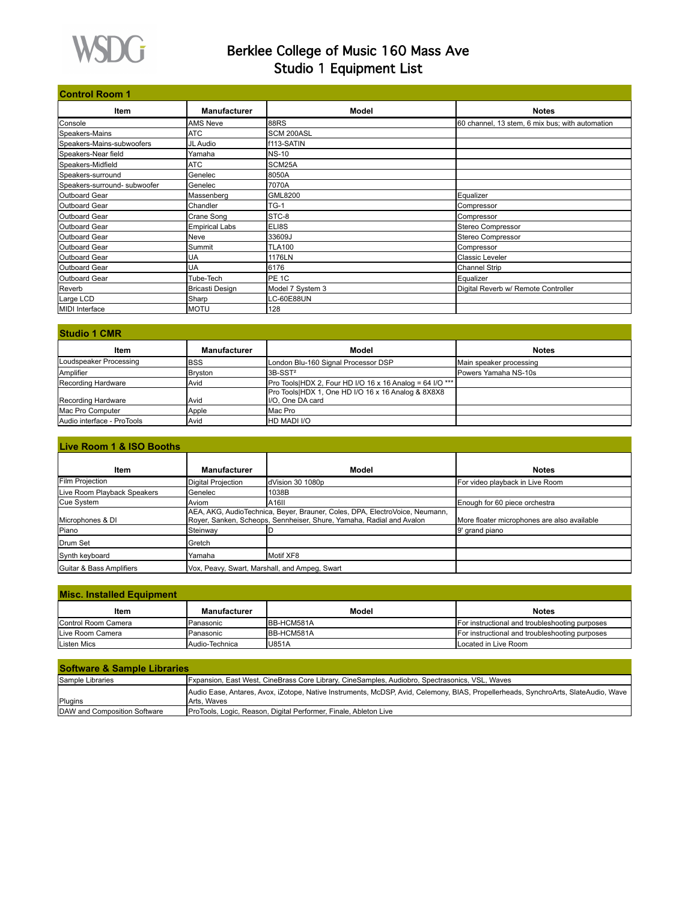

# Berklee College of Music 160 Mass Ave Studio 1 Equipment List

| <b>Control Room 1</b>        |                        |                   |                                                 |
|------------------------------|------------------------|-------------------|-------------------------------------------------|
| Item                         | <b>Manufacturer</b>    | Model             | <b>Notes</b>                                    |
| Console                      | <b>AMS Neve</b>        | 88RS              | 60 channel, 13 stem, 6 mix bus; with automation |
| Speakers-Mains               | <b>ATC</b>             | SCM 200ASL        |                                                 |
| Speakers-Mains-subwoofers    | JL Audio               | f113-SATIN        |                                                 |
| Speakers-Near field          | Yamaha                 | <b>NS-10</b>      |                                                 |
| Speakers-Midfield            | <b>ATC</b>             | SCM25A            |                                                 |
| Speakers-surround            | Genelec                | 8050A             |                                                 |
| Speakers-surround- subwoofer | Genelec                | 7070A             |                                                 |
| <b>IOutboard Gear</b>        | Massenberg             | <b>GML8200</b>    | Equalizer                                       |
| <b>Outboard Gear</b>         | Chandler               | $TG-1$            | Compressor                                      |
| Outboard Gear                | Crane Song             | STC-8             | Compressor                                      |
| Outboard Gear                | <b>Empirical Labs</b>  | ELI8S             | Stereo Compressor                               |
| <b>Outboard Gear</b>         | Neve                   | 33609J            | Stereo Compressor                               |
| Outboard Gear                | Summit                 | <b>TLA100</b>     | Compressor                                      |
| <b>Outboard Gear</b>         | UA                     | 1176LN            | <b>Classic Leveler</b>                          |
| Outboard Gear                | UA                     | 6176              | <b>Channel Strip</b>                            |
| Outboard Gear                | Tube-Tech              | PE <sub>1C</sub>  | Equalizer                                       |
| Reverb                       | <b>Bricasti Design</b> | Model 7 System 3  | Digital Reverb w/ Remote Controller             |
| Large LCD                    | Sharp                  | <b>LC-60E88UN</b> |                                                 |
| MIDI Interface               | <b>MOTU</b>            | 128               |                                                 |

#### **Item Manufacturer Model Notes** Loudspeaker Processing **BSS** London Blu-160 Signal Processor DSP Main speaker processing Amplifier Bryston 3B-SST<sup>2</sup> Powers Yamaha NS-10s Recording Hardware Avid Pro Tools|HDX 2, Four HD I/O 16 x 16 Analog = 64 I/O \*\*\* Pro Tools|HDX 1, One HD I/O 16 x 16 Analog & 8X8X8 Recording Hardware Avid I/O, One DA card Mac Pro Computer **Apple** Apple Mac Pro Audio interface - ProTools | Avid | HD MADI I/O **Studio 1 CMR**

# **Live Room 1 & ISO Booth**

| Item                        | <b>Manufacturer</b>                           | Model                                                                                                                                               | <b>Notes</b>                                |  |
|-----------------------------|-----------------------------------------------|-----------------------------------------------------------------------------------------------------------------------------------------------------|---------------------------------------------|--|
| <b>Film Projection</b>      | Digital Projection                            | dVision 30 1080p                                                                                                                                    | For video playback in Live Room             |  |
| Live Room Playback Speakers | Genelec                                       | 1038B                                                                                                                                               |                                             |  |
| Cue System                  | Aviom                                         | A <sub>16</sub>                                                                                                                                     | Enough for 60 piece orchestra               |  |
| Microphones & DI            |                                               | AEA, AKG, AudioTechnica, Beyer, Brauner, Coles, DPA, ElectroVoice, Neumann,<br>Rover, Sanken, Scheops, Sennheiser, Shure, Yamaha, Radial and Avalon | More floater microphones are also available |  |
| Piano                       | Steinway                                      |                                                                                                                                                     | 9' grand piano                              |  |
| <b>IDrum Set</b>            | Gretch                                        |                                                                                                                                                     |                                             |  |
| Synth keyboard              | Yamaha                                        | Motif XF8                                                                                                                                           |                                             |  |
| Guitar & Bass Amplifiers    | Vox, Peavy, Swart, Marshall, and Ampeg, Swart |                                                                                                                                                     |                                             |  |

### **Misc. Installed Equipment**

| Item                        | Manufacturer    | Model        | <b>Notes</b>                                   |  |  |
|-----------------------------|-----------------|--------------|------------------------------------------------|--|--|
| <b>IControl Room Camera</b> | Panasonic       | BB-HCM581A   | For instructional and troubleshooting purposes |  |  |
| Live Room Camera            | Panasonic       | BB-HCM581A   | For instructional and troubleshooting purposes |  |  |
| Listen Mics                 | IAudio-Technica | <b>U851A</b> | <b>ILocated in Live Room</b>                   |  |  |

| <b>Software &amp; Sample Libraries</b> |                                                                                                                                                          |  |  |
|----------------------------------------|----------------------------------------------------------------------------------------------------------------------------------------------------------|--|--|
| Sample Libraries                       | [Fxpansion, East West, CineBrass Core Library, CineSamples, Audiobro, Spectrasonics, VSL, Waves                                                          |  |  |
| Plugins                                | Audio Ease, Antares, Avox, iZotope, Native Instruments, McDSP, Avid, Celemony, BIAS, Propellerheads, SynchroArts, SlateAudio, Wave<br><b>Arts. Waves</b> |  |  |
| <b>IDAW and Composition Software</b>   | ProTools, Logic, Reason, Digital Performer, Finale, Ableton Live                                                                                         |  |  |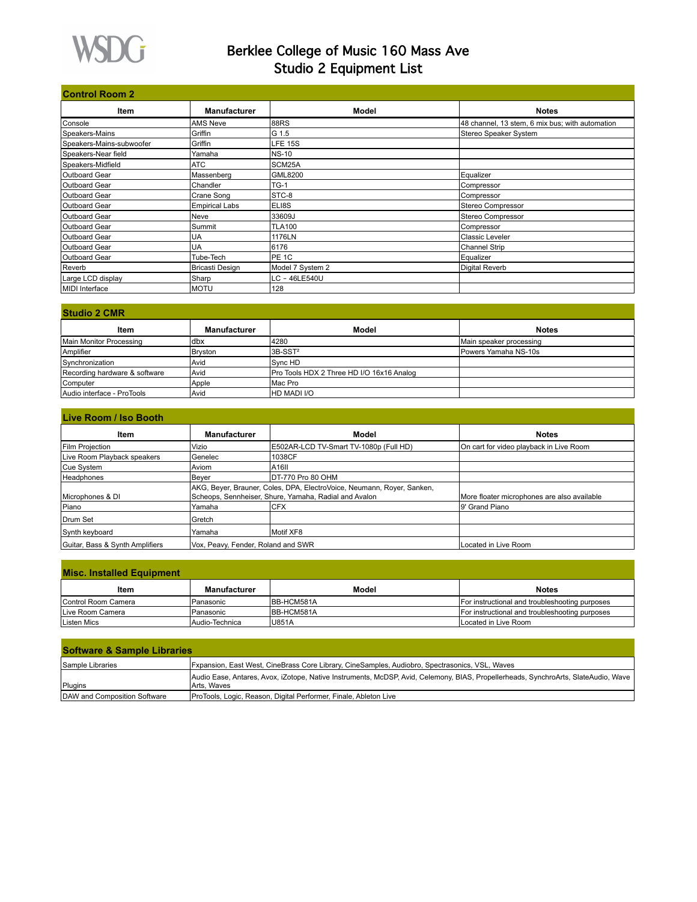

### Berklee College of Music 160 Mass Ave Studio 2 Equipment List

| <b>Control Room 2</b>    |                       |                  |                                                 |  |
|--------------------------|-----------------------|------------------|-------------------------------------------------|--|
| <b>Item</b>              | <b>Manufacturer</b>   | Model            | <b>Notes</b>                                    |  |
| Console                  | <b>AMS Neve</b>       | 88RS             | 48 channel, 13 stem, 6 mix bus; with automation |  |
| Speakers-Mains           | Griffin               | G 1.5            | Stereo Speaker System                           |  |
| Speakers-Mains-subwoofer | Griffin               | LFE 15S          |                                                 |  |
| Speakers-Near field      | Yamaha                | <b>NS-10</b>     |                                                 |  |
| Speakers-Midfield        | <b>ATC</b>            | SCM25A           |                                                 |  |
| Outboard Gear            | Massenberg            | <b>GML8200</b>   | Equalizer                                       |  |
| Outboard Gear            | Chandler              | $TG-1$           | Compressor                                      |  |
| <b>Outboard Gear</b>     | Crane Song            | STC-8            | Compressor                                      |  |
| Outboard Gear            | <b>Empirical Labs</b> | ELI8S            | Stereo Compressor                               |  |
| Outboard Gear            | Neve                  | 33609J           | Stereo Compressor                               |  |
| Outboard Gear            | Summit                | <b>TLA100</b>    | Compressor                                      |  |
| Outboard Gear            | UA                    | 1176LN           | Classic Leveler                                 |  |
| Outboard Gear            | UA                    | 6176             | <b>Channel Strip</b>                            |  |
| Outboard Gear            | Tube-Tech             | PE 1C            | Equalizer                                       |  |
| Reverb                   | Bricasti Design       | Model 7 System 2 | Digital Reverb                                  |  |
| Large LCD display        | Sharp                 | LC - 46LE540U    |                                                 |  |
| MIDI Interface           | <b>MOTU</b>           | 128              |                                                 |  |

| <b>Studio 2 CMR</b>           |                     |                                           |                         |  |
|-------------------------------|---------------------|-------------------------------------------|-------------------------|--|
| Item                          | <b>Manufacturer</b> | Model                                     | <b>Notes</b>            |  |
| Main Monitor Processing       | ldbx                | 4280                                      | Main speaker processing |  |
| Amplifier                     | Bryston             | I3B-SST <sup>2</sup>                      | Powers Yamaha NS-10s    |  |
| Synchronization               | Avid                | <b>Svnc HD</b>                            |                         |  |
| Recording hardware & software | Avid                | Pro Tools HDX 2 Three HD I/O 16x16 Analog |                         |  |
| Computer                      | Apple               | IMac Pro                                  |                         |  |
| Audio interface - ProTools    | Avid                | <b>HD MADI I/O</b>                        |                         |  |

| Live Room / Iso Booth           |                                    |                                                                                                                                 |                                             |  |
|---------------------------------|------------------------------------|---------------------------------------------------------------------------------------------------------------------------------|---------------------------------------------|--|
| ltem                            | <b>Manufacturer</b>                | Model                                                                                                                           | <b>Notes</b>                                |  |
| <b>Film Projection</b>          | Vizio                              | IE502AR-LCD TV-Smart TV-1080p (Full HD)                                                                                         | On cart for video playback in Live Room     |  |
| Live Room Playback speakers     | <b>IGenelec</b>                    | 1038CF                                                                                                                          |                                             |  |
| Cue System                      | l Aviom                            | IA16II                                                                                                                          |                                             |  |
| Headphones                      | <b>Bever</b>                       | DT-770 Pro 80 OHM                                                                                                               |                                             |  |
| Microphones & DI                |                                    | AKG, Beyer, Brauner, Coles, DPA, ElectroVoice, Neumann, Royer, Sanken,<br>Scheops, Sennheiser, Shure, Yamaha, Radial and Avalon | More floater microphones are also available |  |
| Piano                           | Yamaha                             | ICFX                                                                                                                            | 9' Grand Piano                              |  |
| Drum Set                        | l Gretch                           |                                                                                                                                 |                                             |  |
| Synth keyboard                  | Yamaha                             | Motif XF8                                                                                                                       |                                             |  |
| Guitar, Bass & Synth Amplifiers | Vox, Peavy, Fender, Roland and SWR |                                                                                                                                 | Located in Live Room                        |  |

| <b>Misc. Installed Equipment</b> |                 |                    |                                                |  |
|----------------------------------|-----------------|--------------------|------------------------------------------------|--|
| ltem                             | Manufacturer    | Model              | <b>Notes</b>                                   |  |
| Control Room Camera              | Panasonic       | <b>IBB-HCM581A</b> | For instructional and troubleshooting purposes |  |
| Live Room Camera                 | Panasonic       | <b>IBB-HCM581A</b> | For instructional and troubleshooting purposes |  |
| Listen Mics                      | IAudio-Technica | <b>IU851A</b>      | Located in Live Room                           |  |

| <b>Software &amp; Sample Libraries</b> |                                                                                                                                                    |  |  |
|----------------------------------------|----------------------------------------------------------------------------------------------------------------------------------------------------|--|--|
| Sample Libraries                       | Fxpansion, East West, CineBrass Core Library, CineSamples, Audiobro, Spectrasonics, VSL, Waves                                                     |  |  |
| Plugins                                | Audio Ease, Antares, Avox, iZotope, Native Instruments, McDSP, Avid, Celemony, BIAS, Propellerheads, SynchroArts, SlateAudio, Wave<br>IArts. Waves |  |  |
| DAW and Composition Software           | ProTools, Logic, Reason, Digital Performer, Finale, Ableton Live                                                                                   |  |  |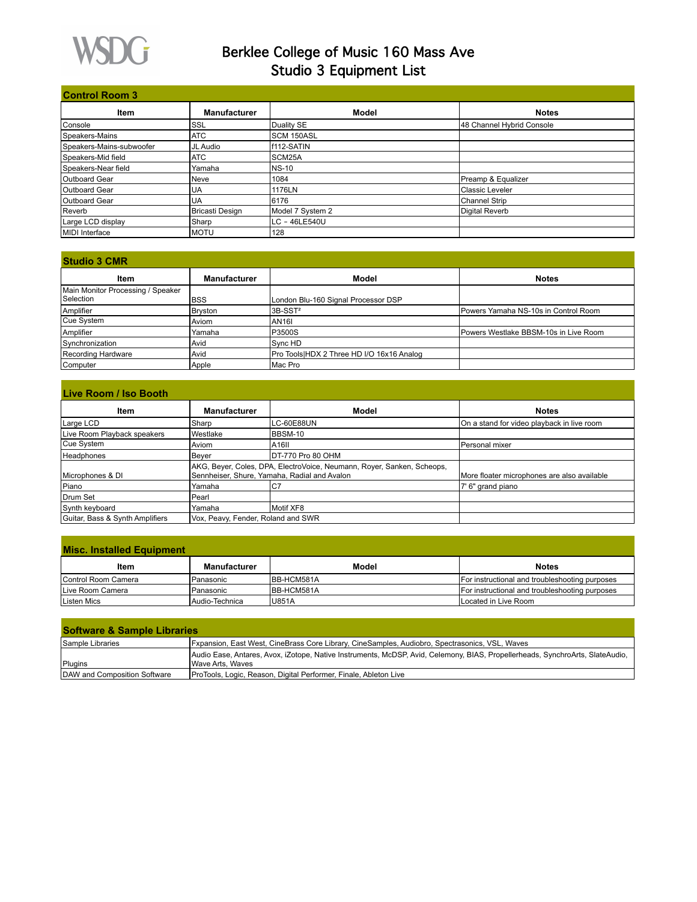

# Berklee College of Music 160 Mass Ave Studio 3 Equipment List

| <b>Control Room 3</b>    |                        |                   |                           |  |
|--------------------------|------------------------|-------------------|---------------------------|--|
| Item                     | Manufacturer           | Model             | <b>Notes</b>              |  |
| Console                  | SSL                    | Duality SE        | 48 Channel Hybrid Console |  |
| Speakers-Mains           | <b>ATC</b>             | <b>SCM 150ASL</b> |                           |  |
| Speakers-Mains-subwoofer | JL Audio               | f112-SATIN        |                           |  |
| Speakers-Mid field       | <b>ATC</b>             | SCM25A            |                           |  |
| Speakers-Near field      | Yamaha                 | <b>NS-10</b>      |                           |  |
| Outboard Gear            | Neve                   | 1084              | Preamp & Equalizer        |  |
| <b>Outboard Gear</b>     | UA                     | 1176LN            | <b>IClassic Leveler</b>   |  |
| <b>Outboard Gear</b>     | UA                     | 6176              | Channel Strip             |  |
| Reverb                   | <b>Bricasti Design</b> | Model 7 System 2  | Digital Reverb            |  |
| Large LCD display        | Sharp                  | LC - 46LE540U     |                           |  |
| <b>IMIDI</b> Interface   | <b>MOTU</b>            | 128               |                           |  |

| <b>Studio 3 CMR</b>               |                     |                                           |                                       |  |
|-----------------------------------|---------------------|-------------------------------------------|---------------------------------------|--|
| Item                              | <b>Manufacturer</b> | Model                                     | <b>Notes</b>                          |  |
| Main Monitor Processing / Speaker |                     |                                           |                                       |  |
| <b>Selection</b>                  | <b>BSS</b>          | London Blu-160 Signal Processor DSP       |                                       |  |
| Amplifier                         | Bryston             | 3B-SST <sup>2</sup>                       | Powers Yamaha NS-10s in Control Room  |  |
| Cue System                        | Aviom               | <b>AN161</b>                              |                                       |  |
| Amplifier                         | Yamaha              | P3500S                                    | Powers Westlake BBSM-10s in Live Room |  |
| Synchronization                   | Avid                | Sync HD                                   |                                       |  |
| Recording Hardware                | Avid                | Pro Tools HDX 2 Three HD I/O 16x16 Analog |                                       |  |
| Computer                          | Apple               | Mac Pro                                   |                                       |  |

| Live Room / Iso Booth           |                     |                                                                                                                        |                                             |  |
|---------------------------------|---------------------|------------------------------------------------------------------------------------------------------------------------|---------------------------------------------|--|
| Item                            | <b>Manufacturer</b> | Model                                                                                                                  | Notes                                       |  |
| Large LCD                       | Sharp               | LC-60E88UN                                                                                                             | On a stand for video playback in live room  |  |
| Live Room Playback speakers     | Westlake            | <b>BBSM-10</b>                                                                                                         |                                             |  |
| Cue System                      | Aviom               | A <sub>16</sub> II                                                                                                     | lPersonal mixer                             |  |
| Headphones                      | Beyer               | DT-770 Pro 80 OHM                                                                                                      |                                             |  |
| Microphones & DI                |                     | AKG, Beyer, Coles, DPA, ElectroVoice, Neumann, Royer, Sanken, Scheops,<br>Sennheiser, Shure, Yamaha, Radial and Avalon | More floater microphones are also available |  |
| Piano                           | Yamaha              | IC7                                                                                                                    | 7' 6" grand piano                           |  |
| Drum Set                        | Pearl               |                                                                                                                        |                                             |  |
| Synth keyboard                  | Yamaha              | Motif XF8                                                                                                              |                                             |  |
| Guitar, Bass & Synth Amplifiers |                     | Vox, Peavy, Fender, Roland and SWR                                                                                     |                                             |  |

| <b>Misc. Installed Equipment</b> |                     |              |                                                |  |
|----------------------------------|---------------------|--------------|------------------------------------------------|--|
| Item                             | <b>Manufacturer</b> | Model        | <b>Notes</b>                                   |  |
| <b>IControl Room Camera</b>      | Panasonic           | BB-HCM581A   | For instructional and troubleshooting purposes |  |
| Live Room Camera                 | Panasonic           | BB-HCM581A   | For instructional and troubleshooting purposes |  |
| Listen Mics                      | Audio-Technica      | <b>U851A</b> | ILocated in Live Room                          |  |

| <b>Software &amp; Sample Libraries</b> |                                                                                                                                                          |  |  |  |
|----------------------------------------|----------------------------------------------------------------------------------------------------------------------------------------------------------|--|--|--|
| <b>Sample Libraries</b>                | [Fxpansion, East West, CineBrass Core Library, CineSamples, Audiobro, Spectrasonics, VSL, Waves                                                          |  |  |  |
| Plugins                                | Audio Ease, Antares, Avox, iZotope, Native Instruments, McDSP, Avid, Celemony, BIAS, Propellerheads, SynchroArts, SlateAudio,<br><b>Wave Arts, Waves</b> |  |  |  |
| DAW and Composition Software           | ProTools, Logic, Reason, Digital Performer, Finale, Ableton Live                                                                                         |  |  |  |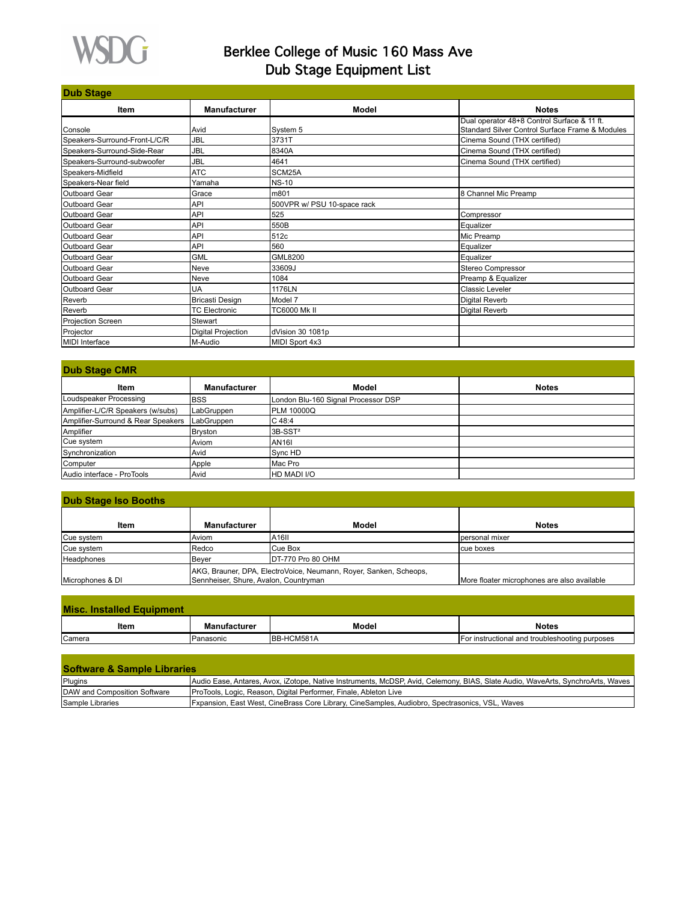

## Berklee College of Music 160 Mass Ave Dub Stage Equipment List

| <b>Dub Stage</b>              |                           |                             |                                                 |  |  |
|-------------------------------|---------------------------|-----------------------------|-------------------------------------------------|--|--|
| Item                          | <b>Manufacturer</b>       | <b>Model</b>                | <b>Notes</b>                                    |  |  |
|                               |                           |                             | Dual operator 48+8 Control Surface & 11 ft.     |  |  |
| Console                       | Avid                      | System 5                    | Standard Silver Control Surface Frame & Modules |  |  |
| Speakers-Surround-Front-L/C/R | <b>JBL</b>                | 3731T                       | Cinema Sound (THX certified)                    |  |  |
| Speakers-Surround-Side-Rear   | <b>JBL</b>                | 8340A                       | Cinema Sound (THX certified)                    |  |  |
| Speakers-Surround-subwoofer   | <b>JBL</b>                | 4641                        | Cinema Sound (THX certified)                    |  |  |
| Speakers-Midfield             | <b>ATC</b>                | SCM25A                      |                                                 |  |  |
| Speakers-Near field           | Yamaha                    | <b>NS-10</b>                |                                                 |  |  |
| Outboard Gear                 | Grace                     | m801                        | 8 Channel Mic Preamp                            |  |  |
| Outboard Gear                 | API                       | 500VPR w/ PSU 10-space rack |                                                 |  |  |
| Outboard Gear                 | <b>API</b>                | 525                         | Compressor                                      |  |  |
| Outboard Gear                 | <b>API</b>                | 550B                        | Equalizer                                       |  |  |
| <b>Outboard Gear</b>          | <b>API</b>                | 512c                        | Mic Preamp                                      |  |  |
| <b>Outboard Gear</b>          | <b>API</b>                | 560                         | <b>Eaualizer</b>                                |  |  |
| Outboard Gear                 | <b>GML</b>                | <b>GML8200</b>              | <b>Eaualizer</b>                                |  |  |
| Outboard Gear                 | Neve                      | 33609J                      | Stereo Compressor                               |  |  |
| Outboard Gear                 | Neve                      | 1084                        | Preamp & Equalizer                              |  |  |
| Outboard Gear                 | UA                        | 1176LN                      | <b>Classic Leveler</b>                          |  |  |
| Reverb                        | <b>Bricasti Design</b>    | Model 7                     | Digital Reverb                                  |  |  |
| Reverb                        | <b>TC Electronic</b>      | <b>TC6000 Mk II</b>         | Digital Reverb                                  |  |  |
| Projection Screen             | Stewart                   |                             |                                                 |  |  |
| Projector                     | <b>Digital Projection</b> | dVision 30 1081p            |                                                 |  |  |
| MIDI Interface                | M-Audio                   | MIDI Sport 4x3              |                                                 |  |  |

| <b>Dub Stage CMR</b>               |                     |                                     |              |  |
|------------------------------------|---------------------|-------------------------------------|--------------|--|
| Item                               | <b>Manufacturer</b> | <b>Model</b>                        | <b>Notes</b> |  |
| Loudspeaker Processing             | IBSS                | London Blu-160 Signal Processor DSP |              |  |
| Amplifier-L/C/R Speakers (w/subs)  | LabGruppen          | PLM 10000Q                          |              |  |
| Amplifier-Surround & Rear Speakers | LabGruppen          | IC 48:4                             |              |  |
| Amplifier                          | Bryston             | 3B-SST <sup>2</sup>                 |              |  |
| Cue system                         | <b>Aviom</b>        | AN <sub>161</sub>                   |              |  |
| Synchronization                    | l Avid              | Sync HD                             |              |  |
| Computer                           | Apple               | IMac Pro                            |              |  |
| Audio interface - ProTools         | l Avid              | HD MADI I/O                         |              |  |

### **Dub Stage Iso Booths**

| Item              | <b>Manufacturer</b>                                                | Model              | <b>Notes</b>                                |
|-------------------|--------------------------------------------------------------------|--------------------|---------------------------------------------|
|                   |                                                                    |                    |                                             |
| Cue system        | lAviom                                                             | IA16II             | Ipersonal mixer                             |
| Cue system        | <b>IRedco</b>                                                      | Cue Box            | Icue boxes                                  |
| <b>Headphones</b> | Bever                                                              | IDT-770 Pro 80 OHM |                                             |
|                   | JAKG, Brauner, DPA, ElectroVoice, Neumann, Royer, Sanken, Scheops, |                    |                                             |
| Microphones & DI  | Sennheiser, Shure, Avalon, Countryman                              |                    | More floater microphones are also available |

| <b>Misc. Installed Equipment</b> |                     |              |                                                |
|----------------------------------|---------------------|--------------|------------------------------------------------|
| ltem                             | <b>Manufacturer</b> | <b>Model</b> | <b>Notes</b>                                   |
| <b>Camera</b>                    | Panasonic           | IBB-HCM581A  | For instructional and troubleshooting purposes |

| <b>Software &amp; Sample Libraries</b> |                                                                                                                                |  |  |  |
|----------------------------------------|--------------------------------------------------------------------------------------------------------------------------------|--|--|--|
| Plugins                                | Audio Ease, Antares, Avox, iZotope, Native Instruments, McDSP, Avid, Celemony, BIAS, Slate Audio, WaveArts, SynchroArts, Waves |  |  |  |
| DAW and Composition Software           | ProTools, Logic, Reason, Digital Performer, Finale, Ableton Live                                                               |  |  |  |
| Sample Libraries                       | [Fxpansion, East West, CineBrass Core Library, CineSamples, Audiobro, Spectrasonics, VSL, Waves                                |  |  |  |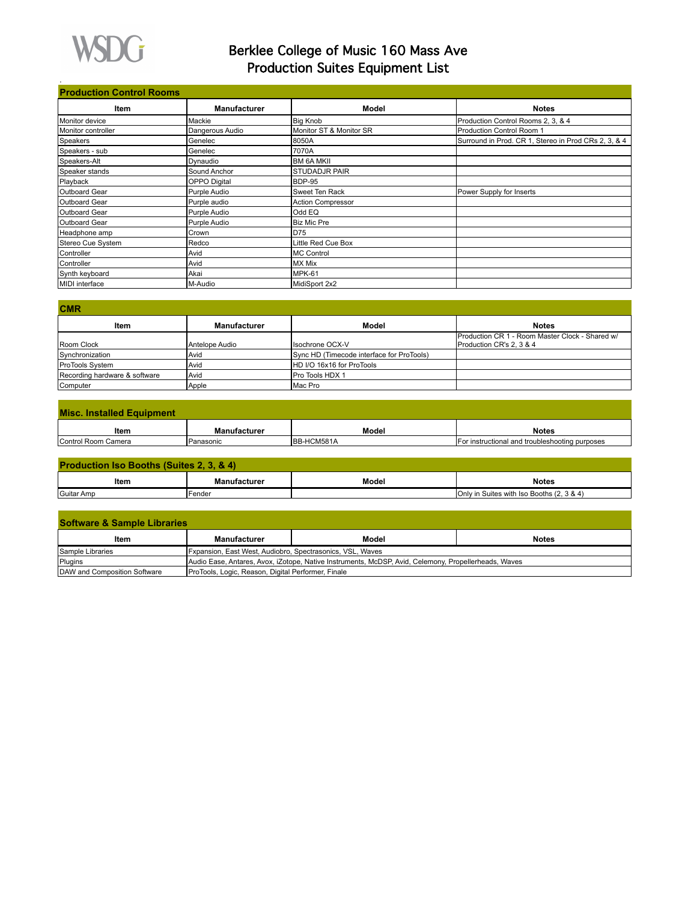

.

## Berklee College of Music 160 Mass Ave Production Suites Equipment List

### **Production Control Rooms**

| <b>Item</b>        | <b>Manufacturer</b> | Model                    | <b>Notes</b>                                         |
|--------------------|---------------------|--------------------------|------------------------------------------------------|
| Monitor device     | Mackie              | <b>Big Knob</b>          | Production Control Rooms 2, 3, & 4                   |
| Monitor controller | Dangerous Audio     | Monitor ST & Monitor SR  | Production Control Room 1                            |
| Speakers           | Genelec             | 8050A                    | Surround in Prod. CR 1, Stereo in Prod CRs 2, 3, & 4 |
| Speakers - sub     | Genelec             | 7070A                    |                                                      |
| Speakers-Alt       | Dynaudio            | <b>BM 6A MKII</b>        |                                                      |
| Speaker stands     | Sound Anchor        | <b>STUDADJR PAIR</b>     |                                                      |
| Playback           | <b>OPPO</b> Digital | BDP-95                   |                                                      |
| Outboard Gear      | Purple Audio        | Sweet Ten Rack           | Power Supply for Inserts                             |
| Outboard Gear      | Purple audio        | <b>Action Compressor</b> |                                                      |
| Outboard Gear      | Purple Audio        | Odd EQ                   |                                                      |
| Outboard Gear      | Purple Audio        | <b>Biz Mic Pre</b>       |                                                      |
| Headphone amp      | Crown               | D75                      |                                                      |
| Stereo Cue System  | Redco               | Little Red Cue Box       |                                                      |
| Controller         | Avid                | <b>MC Control</b>        |                                                      |
| Controller         | Avid                | <b>MX Mix</b>            |                                                      |
| Synth keyboard     | Akai                | MPK-61                   |                                                      |
| MIDI interface     | M-Audio             | MidiSport 2x2            |                                                      |

| <b>Manufacturer</b> | Model   | <b>Notes</b>                                                                                                        |
|---------------------|---------|---------------------------------------------------------------------------------------------------------------------|
|                     |         | Production CR 1 - Room Master Clock - Shared w/                                                                     |
| Antelope Audio      |         | Production CR's 2, 3 & 4                                                                                            |
| Avid                |         |                                                                                                                     |
| Avid                |         |                                                                                                                     |
| Avid                |         |                                                                                                                     |
| Apple               | Mac Pro |                                                                                                                     |
|                     |         | <b>Isochrone OCX-V</b><br>Sync HD (Timecode interface for ProTools)<br>HD I/O 16x16 for ProTools<br>Pro Tools HDX 1 |

| <b>Misc. Installed Equipment</b> |              |            |                                                |
|----------------------------------|--------------|------------|------------------------------------------------|
| ltem                             | Manufacturer | Model      | <b>Notes</b>                                   |
| Control Room Camera              | Panasonic    | BB-HCM581A | For instructional and troubleshooting purposes |

| <b>Production Iso Booths (Suites 2, 3, &amp; 4)</b> |                     |       |                                           |  |
|-----------------------------------------------------|---------------------|-------|-------------------------------------------|--|
| ltem                                                | <b>Manufacturer</b> | Model | <b>Notes</b>                              |  |
| Guitar Amp                                          | <b>Fender</b>       |       | Only in Suites with Iso Booths (2, 3 & 4) |  |

| <b>Software &amp; Sample Libraries</b> |                                                                                                      |       |              |  |  |
|----------------------------------------|------------------------------------------------------------------------------------------------------|-------|--------------|--|--|
| ltem                                   | <b>Manufacturer</b>                                                                                  | Model | <b>Notes</b> |  |  |
| Sample Libraries                       | Fxpansion, East West, Audiobro, Spectrasonics, VSL, Waves                                            |       |              |  |  |
| Plugins                                | Audio Ease, Antares, Avox, iZotope, Native Instruments, McDSP, Avid, Celemony, Propellerheads, Waves |       |              |  |  |
| DAW and Composition Software           | ProTools, Logic, Reason, Digital Performer, Finale                                                   |       |              |  |  |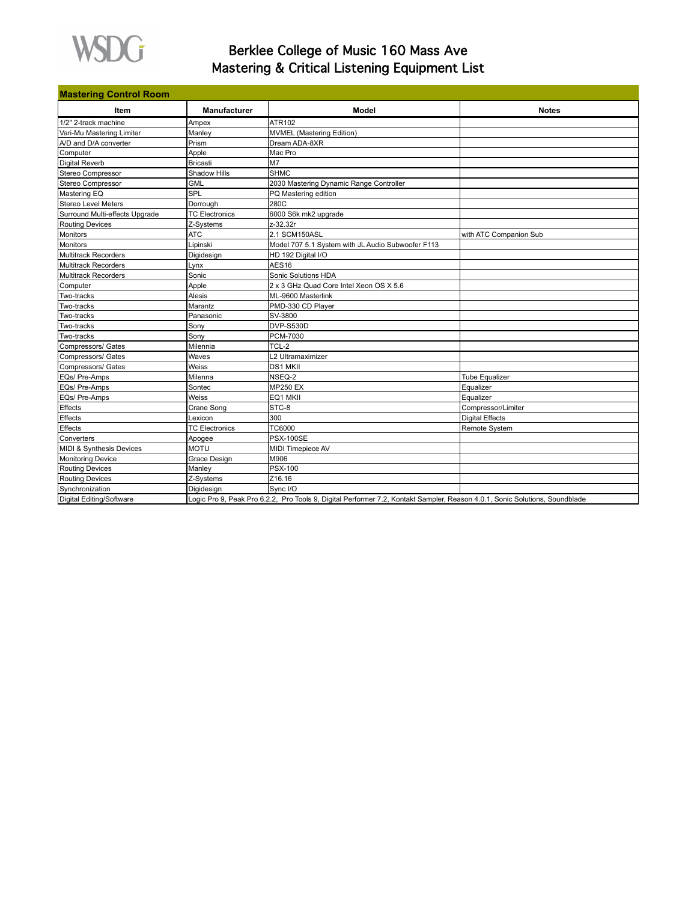

## Berklee College of Music 160 Mass Ave Mastering & Critical Listening Equipment List

| <b>Mastering Control Room</b>  |                       |                                                                                                                             |                        |  |
|--------------------------------|-----------------------|-----------------------------------------------------------------------------------------------------------------------------|------------------------|--|
| Item                           | <b>Manufacturer</b>   | Model                                                                                                                       | <b>Notes</b>           |  |
| 1/2" 2-track machine           | Ampex                 | ATR102                                                                                                                      |                        |  |
| Vari-Mu Mastering Limiter      | Manley                | <b>MVMEL</b> (Mastering Edition)                                                                                            |                        |  |
| A/D and D/A converter          | Prism                 | Dream ADA-8XR                                                                                                               |                        |  |
| Computer                       | Apple                 | Mac Pro                                                                                                                     |                        |  |
| Digital Reverb                 | Bricasti              | M <sub>7</sub>                                                                                                              |                        |  |
| Stereo Compressor              | Shadow Hills          | <b>SHMC</b>                                                                                                                 |                        |  |
| Stereo Compressor              | GML                   | 2030 Mastering Dynamic Range Controller                                                                                     |                        |  |
| Mastering EQ                   | SPL                   | PQ Mastering edition                                                                                                        |                        |  |
| Stereo Level Meters            | Dorrough              | 280C                                                                                                                        |                        |  |
| Surround Multi-effects Upgrade | <b>TC Electronics</b> | 6000 S6k mk2 upgrade                                                                                                        |                        |  |
| Routing Devices                | Z-Systems             | z-32.32r                                                                                                                    |                        |  |
| Monitors                       | <b>ATC</b>            | 2.1 SCM150ASL                                                                                                               | with ATC Companion Sub |  |
| <b>Monitors</b>                | Lipinski              | Model 707 5.1 System with JL Audio Subwoofer F113                                                                           |                        |  |
| <b>Multitrack Recorders</b>    | Digidesign            | HD 192 Digital I/O                                                                                                          |                        |  |
| <b>Multitrack Recorders</b>    | Lynx                  | AES <sub>16</sub>                                                                                                           |                        |  |
| Multitrack Recorders           | Sonic                 | Sonic Solutions HDA                                                                                                         |                        |  |
| Computer                       | Apple                 | 2 x 3 GHz Quad Core Intel Xeon OS X 5.6                                                                                     |                        |  |
| Two-tracks                     | Alesis                | ML-9600 Masterlink                                                                                                          |                        |  |
| Two-tracks                     | Marantz               | PMD-330 CD Player                                                                                                           |                        |  |
| Two-tracks                     | Panasonic             | SV-3800                                                                                                                     |                        |  |
| Two-tracks                     | Sony                  | <b>DVP-S530D</b>                                                                                                            |                        |  |
| Two-tracks                     | Sony                  | PCM-7030                                                                                                                    |                        |  |
| Compressors/ Gates             | Milennia              | TCL-2                                                                                                                       |                        |  |
| Compressors/ Gates             | Waves                 | L2 Ultramaximizer                                                                                                           |                        |  |
| Compressors/ Gates             | Weiss                 | <b>DS1 MKII</b>                                                                                                             |                        |  |
| EQs/ Pre-Amps                  | Milenna               | NSEQ-2                                                                                                                      | <b>Tube Equalizer</b>  |  |
| EQs/ Pre-Amps                  | Sontec                | <b>MP250 EX</b>                                                                                                             | Equalizer              |  |
| EQs/ Pre-Amps                  | Weiss                 | EQ1 MKII                                                                                                                    | Equalizer              |  |
| Effects                        | Crane Song            | STC-8                                                                                                                       | Compressor/Limiter     |  |
| Effects                        | Lexicon               | 300                                                                                                                         | Digital Effects        |  |
| Effects                        | <b>TC Electronics</b> | <b>TC6000</b>                                                                                                               | Remote System          |  |
| Converters                     | Apogee                | <b>PSX-100SE</b>                                                                                                            |                        |  |
| MIDI & Synthesis Devices       | <b>MOTU</b>           | <b>MIDI Timepiece AV</b>                                                                                                    |                        |  |
| <b>Monitoring Device</b>       | Grace Design          | M906                                                                                                                        |                        |  |
| <b>Routing Devices</b>         | Manley                | <b>PSX-100</b>                                                                                                              |                        |  |
| <b>Routing Devices</b>         | Z-Systems             | Z16.16                                                                                                                      |                        |  |
| Synchronization                | Digidesign            | Sync I/O                                                                                                                    |                        |  |
| Digital Editing/Software       |                       | Logic Pro 9, Peak Pro 6.2.2, Pro Tools 9, Digital Performer 7.2, Kontakt Sampler, Reason 4.0.1, Sonic Solutions, Soundblade |                        |  |